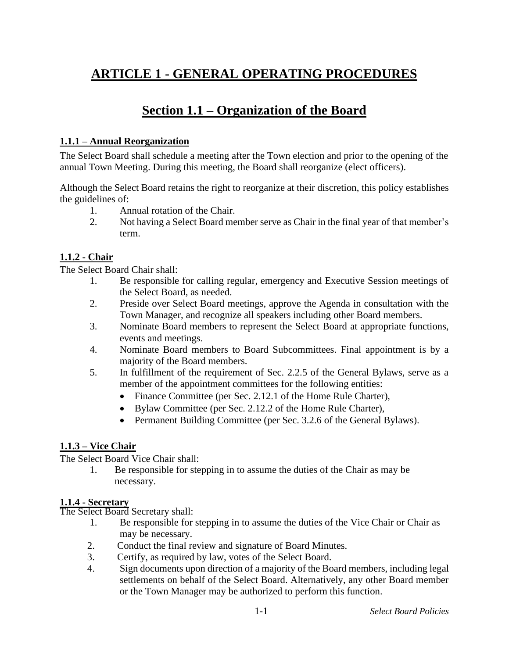# **ARTICLE 1 - GENERAL OPERATING PROCEDURES**

# **Section 1.1 – Organization of the Board**

## **1.1.1 – Annual Reorganization**

The Select Board shall schedule a meeting after the Town election and prior to the opening of the annual Town Meeting. During this meeting, the Board shall reorganize (elect officers).

Although the Select Board retains the right to reorganize at their discretion, this policy establishes the guidelines of:

- 1. Annual rotation of the Chair.
- 2. Not having a Select Board member serve as Chair in the final year of that member's term.

# **1.1.2 - Chair**

The Select Board Chair shall:

- 1. Be responsible for calling regular, emergency and Executive Session meetings of the Select Board, as needed.
- 2. Preside over Select Board meetings, approve the Agenda in consultation with the Town Manager, and recognize all speakers including other Board members.
- 3. Nominate Board members to represent the Select Board at appropriate functions, events and meetings.
- 4. Nominate Board members to Board Subcommittees. Final appointment is by a majority of the Board members.
- 5. In fulfillment of the requirement of Sec. 2.2.5 of the General Bylaws, serve as a member of the appointment committees for the following entities:
	- Finance Committee (per Sec. 2.12.1 of the Home Rule Charter),
	- Bylaw Committee (per Sec. 2.12.2 of the Home Rule Charter),
	- Permanent Building Committee (per Sec. 3.2.6 of the General Bylaws).

## **1.1.3 – Vice Chair**

The Select Board Vice Chair shall:

1. Be responsible for stepping in to assume the duties of the Chair as may be necessary.

## **1.1.4 - Secretary**

The Select Board Secretary shall:

- 1. Be responsible for stepping in to assume the duties of the Vice Chair or Chair as may be necessary.
- 2. Conduct the final review and signature of Board Minutes.
- 3. Certify, as required by law, votes of the Select Board.
- 4. Sign documents upon direction of a majority of the Board members, including legal settlements on behalf of the Select Board. Alternatively, any other Board member or the Town Manager may be authorized to perform this function.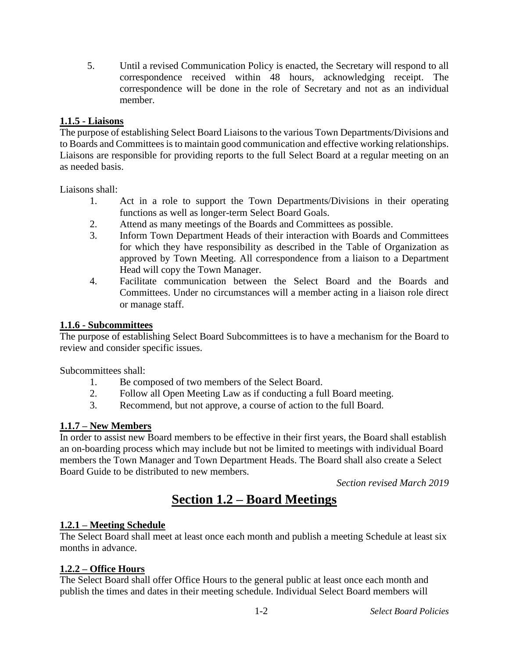5. Until a revised Communication Policy is enacted, the Secretary will respond to all correspondence received within 48 hours, acknowledging receipt. The correspondence will be done in the role of Secretary and not as an individual member.

# **1.1.5 - Liaisons**

The purpose of establishing Select Board Liaisons to the various Town Departments/Divisions and to Boards and Committees is to maintain good communication and effective working relationships. Liaisons are responsible for providing reports to the full Select Board at a regular meeting on an as needed basis.

Liaisons shall:

- 1. Act in a role to support the Town Departments/Divisions in their operating functions as well as longer-term Select Board Goals.
- 2. Attend as many meetings of the Boards and Committees as possible.
- 3. Inform Town Department Heads of their interaction with Boards and Committees for which they have responsibility as described in the Table of Organization as approved by Town Meeting. All correspondence from a liaison to a Department Head will copy the Town Manager.
- 4. Facilitate communication between the Select Board and the Boards and Committees. Under no circumstances will a member acting in a liaison role direct or manage staff.

## **1.1.6 - Subcommittees**

The purpose of establishing Select Board Subcommittees is to have a mechanism for the Board to review and consider specific issues.

Subcommittees shall:

- 1. Be composed of two members of the Select Board.
- 2. Follow all Open Meeting Law as if conducting a full Board meeting.
- 3. Recommend, but not approve, a course of action to the full Board.

## **1.1.7 – New Members**

In order to assist new Board members to be effective in their first years, the Board shall establish an on-boarding process which may include but not be limited to meetings with individual Board members the Town Manager and Town Department Heads. The Board shall also create a Select Board Guide to be distributed to new members.

*Section revised March 2019*

# **Section 1.2 – Board Meetings**

# **1.2.1 – Meeting Schedule**

The Select Board shall meet at least once each month and publish a meeting Schedule at least six months in advance.

# **1.2.2 – Office Hours**

The Select Board shall offer Office Hours to the general public at least once each month and publish the times and dates in their meeting schedule. Individual Select Board members will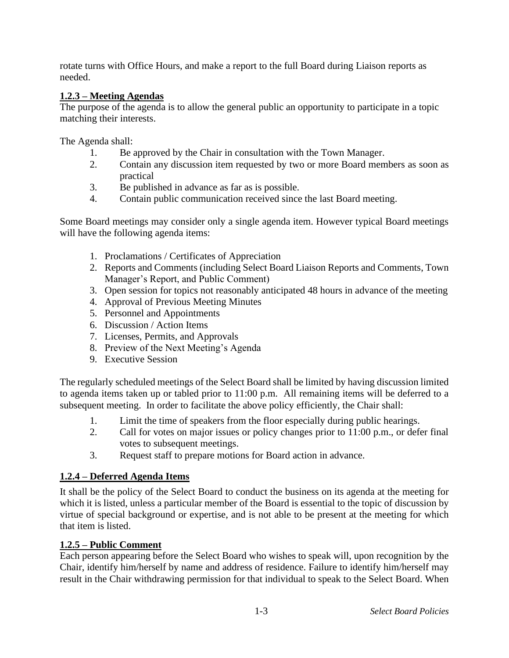rotate turns with Office Hours, and make a report to the full Board during Liaison reports as needed.

## **1.2.3 – Meeting Agendas**

The purpose of the agenda is to allow the general public an opportunity to participate in a topic matching their interests.

The Agenda shall:

- 1. Be approved by the Chair in consultation with the Town Manager.
- 2. Contain any discussion item requested by two or more Board members as soon as practical
- 3. Be published in advance as far as is possible.
- 4. Contain public communication received since the last Board meeting.

Some Board meetings may consider only a single agenda item. However typical Board meetings will have the following agenda items:

- 1. Proclamations / Certificates of Appreciation
- 2. Reports and Comments (including Select Board Liaison Reports and Comments, Town Manager's Report, and Public Comment)
- 3. Open session for topics not reasonably anticipated 48 hours in advance of the meeting
- 4. Approval of Previous Meeting Minutes
- 5. Personnel and Appointments
- 6. Discussion / Action Items
- 7. Licenses, Permits, and Approvals
- 8. Preview of the Next Meeting's Agenda
- 9. Executive Session

The regularly scheduled meetings of the Select Board shall be limited by having discussion limited to agenda items taken up or tabled prior to 11:00 p.m. All remaining items will be deferred to a subsequent meeting. In order to facilitate the above policy efficiently, the Chair shall:

- 1. Limit the time of speakers from the floor especially during public hearings.
- 2. Call for votes on major issues or policy changes prior to 11:00 p.m., or defer final votes to subsequent meetings.
- 3. Request staff to prepare motions for Board action in advance.

# **1.2.4 – Deferred Agenda Items**

It shall be the policy of the Select Board to conduct the business on its agenda at the meeting for which it is listed, unless a particular member of the Board is essential to the topic of discussion by virtue of special background or expertise, and is not able to be present at the meeting for which that item is listed.

# **1.2.5 – Public Comment**

Each person appearing before the Select Board who wishes to speak will, upon recognition by the Chair, identify him/herself by name and address of residence. Failure to identify him/herself may result in the Chair withdrawing permission for that individual to speak to the Select Board. When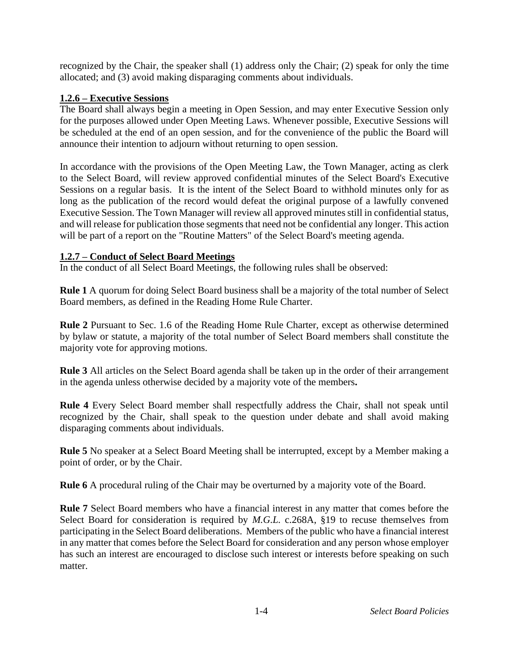recognized by the Chair, the speaker shall (1) address only the Chair; (2) speak for only the time allocated; and (3) avoid making disparaging comments about individuals.

#### **1.2.6 – Executive Sessions**

The Board shall always begin a meeting in Open Session, and may enter Executive Session only for the purposes allowed under Open Meeting Laws. Whenever possible, Executive Sessions will be scheduled at the end of an open session, and for the convenience of the public the Board will announce their intention to adjourn without returning to open session.

In accordance with the provisions of the Open Meeting Law, the Town Manager, acting as clerk to the Select Board, will review approved confidential minutes of the Select Board's Executive Sessions on a regular basis. It is the intent of the Select Board to withhold minutes only for as long as the publication of the record would defeat the original purpose of a lawfully convened Executive Session. The Town Manager will review all approved minutes still in confidential status, and will release for publication those segments that need not be confidential any longer. This action will be part of a report on the "Routine Matters" of the Select Board's meeting agenda.

#### **1.2.7 – Conduct of Select Board Meetings**

In the conduct of all Select Board Meetings, the following rules shall be observed:

**Rule 1** A quorum for doing Select Board business shall be a majority of the total number of Select Board members, as defined in the Reading Home Rule Charter.

**Rule 2** Pursuant to Sec. 1.6 of the Reading Home Rule Charter, except as otherwise determined by bylaw or statute, a majority of the total number of Select Board members shall constitute the majority vote for approving motions.

**Rule 3** All articles on the Select Board agenda shall be taken up in the order of their arrangement in the agenda unless otherwise decided by a majority vote of the members**.**

**Rule 4** Every Select Board member shall respectfully address the Chair, shall not speak until recognized by the Chair, shall speak to the question under debate and shall avoid making disparaging comments about individuals.

**Rule 5** No speaker at a Select Board Meeting shall be interrupted, except by a Member making a point of order, or by the Chair.

**Rule 6** A procedural ruling of the Chair may be overturned by a majority vote of the Board.

**Rule 7** Select Board members who have a financial interest in any matter that comes before the Select Board for consideration is required by *M.G.L.* c.268A, §19 to recuse themselves from participating in the Select Board deliberations.Members of the public who have a financial interest in any matter that comes before the Select Board for consideration and any person whose employer has such an interest are encouraged to disclose such interest or interests before speaking on such matter.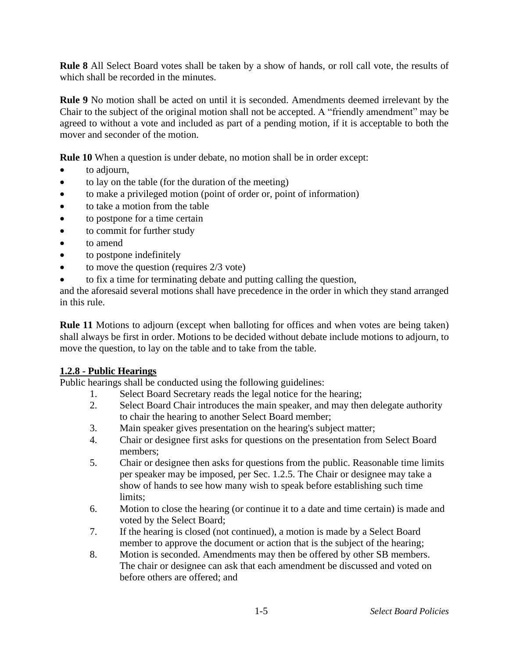**Rule 8** All Select Board votes shall be taken by a show of hands, or roll call vote, the results of which shall be recorded in the minutes.

**Rule 9** No motion shall be acted on until it is seconded. Amendments deemed irrelevant by the Chair to the subject of the original motion shall not be accepted. A "friendly amendment" may be agreed to without a vote and included as part of a pending motion, if it is acceptable to both the mover and seconder of the motion.

**Rule 10** When a question is under debate, no motion shall be in order except:

- to adjourn,
- to lay on the table (for the duration of the meeting)
- to make a privileged motion (point of order or, point of information)
- to take a motion from the table
- to postpone for a time certain
- to commit for further study
- to amend
- to postpone indefinitely
- to move the question (requires 2/3 vote)
- to fix a time for terminating debate and putting calling the question,

and the aforesaid several motions shall have precedence in the order in which they stand arranged in this rule.

**Rule 11** Motions to adjourn (except when balloting for offices and when votes are being taken) shall always be first in order. Motions to be decided without debate include motions to adjourn, to move the question, to lay on the table and to take from the table.

## **1.2.8 - Public Hearings**

Public hearings shall be conducted using the following guidelines:

- 1. Select Board Secretary reads the legal notice for the hearing;
- 2. Select Board Chair introduces the main speaker, and may then delegate authority to chair the hearing to another Select Board member;
- 3. Main speaker gives presentation on the hearing's subject matter;
- 4. Chair or designee first asks for questions on the presentation from Select Board members;
- 5. Chair or designee then asks for questions from the public. Reasonable time limits per speaker may be imposed, per Sec. 1.2.5. The Chair or designee may take a show of hands to see how many wish to speak before establishing such time limits;
- 6. Motion to close the hearing (or continue it to a date and time certain) is made and voted by the Select Board;
- 7. If the hearing is closed (not continued), a motion is made by a Select Board member to approve the document or action that is the subject of the hearing;
- 8. Motion is seconded. Amendments may then be offered by other SB members. The chair or designee can ask that each amendment be discussed and voted on before others are offered; and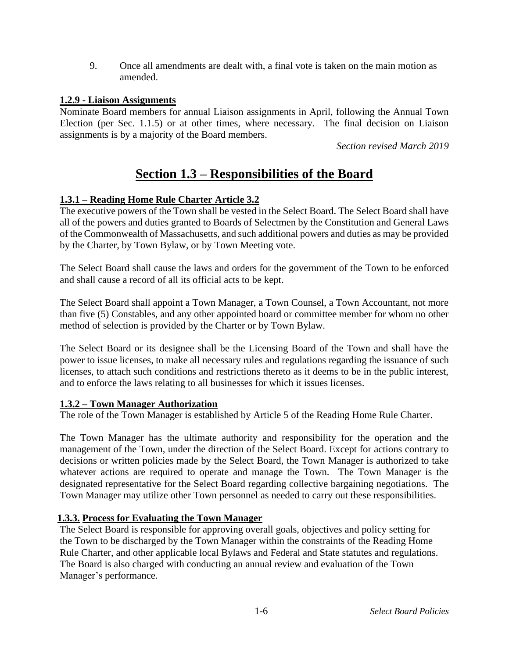9. Once all amendments are dealt with, a final vote is taken on the main motion as amended.

### **1.2.9 - Liaison Assignments**

Nominate Board members for annual Liaison assignments in April, following the Annual Town Election (per Sec. 1.1.5) or at other times, where necessary. The final decision on Liaison assignments is by a majority of the Board members.

*Section revised March 2019*

# **Section 1.3 – Responsibilities of the Board**

## **1.3.1 – Reading Home Rule Charter Article 3.2**

The executive powers of the Town shall be vested in the Select Board. The Select Board shall have all of the powers and duties granted to Boards of Selectmen by the Constitution and General Laws of the Commonwealth of Massachusetts, and such additional powers and duties as may be provided by the Charter, by Town Bylaw, or by Town Meeting vote.

The Select Board shall cause the laws and orders for the government of the Town to be enforced and shall cause a record of all its official acts to be kept.

The Select Board shall appoint a Town Manager, a Town Counsel, a Town Accountant, not more than five (5) Constables, and any other appointed board or committee member for whom no other method of selection is provided by the Charter or by Town Bylaw.

The Select Board or its designee shall be the Licensing Board of the Town and shall have the power to issue licenses, to make all necessary rules and regulations regarding the issuance of such licenses, to attach such conditions and restrictions thereto as it deems to be in the public interest, and to enforce the laws relating to all businesses for which it issues licenses.

## **1.3.2 – Town Manager Authorization**

The role of the Town Manager is established by Article 5 of the Reading Home Rule Charter.

The Town Manager has the ultimate authority and responsibility for the operation and the management of the Town, under the direction of the Select Board. Except for actions contrary to decisions or written policies made by the Select Board, the Town Manager is authorized to take whatever actions are required to operate and manage the Town. The Town Manager is the designated representative for the Select Board regarding collective bargaining negotiations. The Town Manager may utilize other Town personnel as needed to carry out these responsibilities.

## **1.3.3. Process for Evaluating the Town Manager**

The Select Board is responsible for approving overall goals, objectives and policy setting for the Town to be discharged by the Town Manager within the constraints of the Reading Home Rule Charter, and other applicable local Bylaws and Federal and State statutes and regulations. The Board is also charged with conducting an annual review and evaluation of the Town Manager's performance.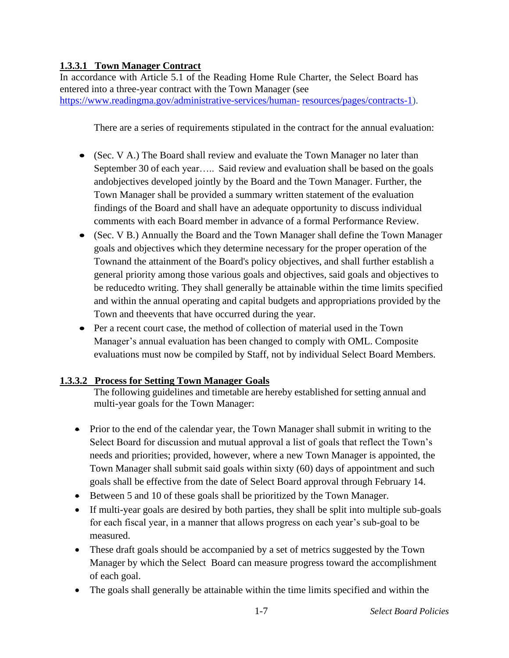# **1.3.3.1 Town Manager Contract**

In accordance with Article 5.1 of the Reading Home Rule Charter, the Select Board has entered into a three-year contract with the Town Manager (see [https://www.readingma.gov/administrative-services/human-](https://www.readingma.gov/administrative-services/human-resources/pages/contracts-1) [resources/pages/contracts-1\)](https://www.readingma.gov/administrative-services/human-resources/pages/contracts-1).

There are a series of requirements stipulated in the contract for the annual evaluation:

- (Sec. V A.) The Board shall review and evaluate the Town Manager no later than September 30 of each year….. Said review and evaluation shall be based on the goals andobjectives developed jointly by the Board and the Town Manager. Further, the Town Manager shall be provided a summary written statement of the evaluation findings of the Board and shall have an adequate opportunity to discuss individual comments with each Board member in advance of a formal Performance Review.
- (Sec. V B.) Annually the Board and the Town Manager shall define the Town Manager goals and objectives which they determine necessary for the proper operation of the Townand the attainment of the Board's policy objectives, and shall further establish a general priority among those various goals and objectives, said goals and objectives to be reducedto writing. They shall generally be attainable within the time limits specified and within the annual operating and capital budgets and appropriations provided by the Town and theevents that have occurred during the year.
- Per a recent court case, the method of collection of material used in the Town Manager's annual evaluation has been changed to comply with OML. Composite evaluations must now be compiled by Staff, not by individual Select Board Members.

## **1.3.3.2 Process for Setting Town Manager Goals**

The following guidelines and timetable are hereby established forsetting annual and multi-year goals for the Town Manager:

- Prior to the end of the calendar year, the Town Manager shall submit in writing to the Select Board for discussion and mutual approval a list of goals that reflect the Town's needs and priorities; provided, however, where a new Town Manager is appointed, the Town Manager shall submit said goals within sixty (60) days of appointment and such goals shall be effective from the date of Select Board approval through February 14.
- Between 5 and 10 of these goals shall be prioritized by the Town Manager.
- If multi-year goals are desired by both parties, they shall be split into multiple sub-goals for each fiscal year, in a manner that allows progress on each year's sub-goal to be measured.
- These draft goals should be accompanied by a set of metrics suggested by the Town Manager by which the Select Board can measure progress toward the accomplishment of each goal.
- The goals shall generally be attainable within the time limits specified and within the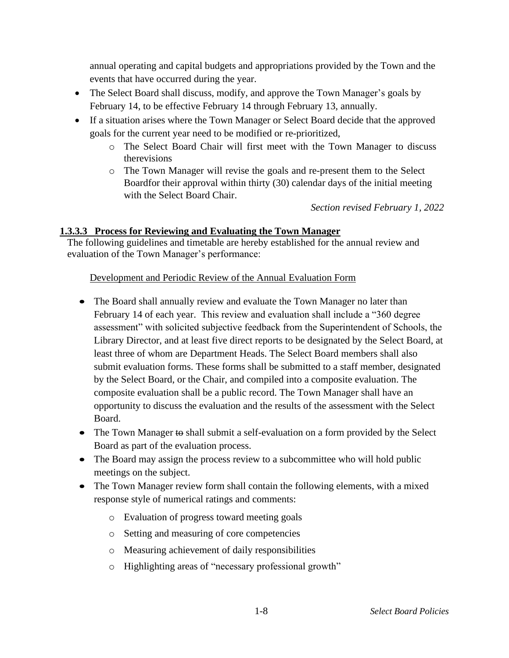annual operating and capital budgets and appropriations provided by the Town and the events that have occurred during the year.

- The Select Board shall discuss, modify, and approve the Town Manager's goals by February 14, to be effective February 14 through February 13, annually.
- If a situation arises where the Town Manager or Select Board decide that the approved goals for the current year need to be modified or re-prioritized,
	- o The Select Board Chair will first meet with the Town Manager to discuss therevisions
	- o The Town Manager will revise the goals and re-present them to the Select Boardfor their approval within thirty (30) calendar days of the initial meeting with the Select Board Chair.

*Section revised February 1, 2022*

# **1.3.3.3 Process for Reviewing and Evaluating the Town Manager**

The following guidelines and timetable are hereby established for the annual review and evaluation of the Town Manager's performance:

## Development and Periodic Review of the Annual Evaluation Form

- The Board shall annually review and evaluate the Town Manager no later than February 14 of each year. This review and evaluation shall include a "360 degree assessment" with solicited subjective feedback from the Superintendent of Schools, the Library Director, and at least five direct reports to be designated by the Select Board, at least three of whom are Department Heads. The Select Board members shall also submit evaluation forms. These forms shall be submitted to a staff member, designated by the Select Board, or the Chair, and compiled into a composite evaluation. The composite evaluation shall be a public record. The Town Manager shall have an opportunity to discuss the evaluation and the results of the assessment with the Select Board.
- The Town Manager to shall submit a self-evaluation on a form provided by the Select Board as part of the evaluation process.
- The Board may assign the process review to a subcommittee who will hold public meetings on the subject.
- The Town Manager review form shall contain the following elements, with a mixed response style of numerical ratings and comments:
	- o Evaluation of progress toward meeting goals
	- o Setting and measuring of core competencies
	- o Measuring achievement of daily responsibilities
	- o Highlighting areas of "necessary professional growth"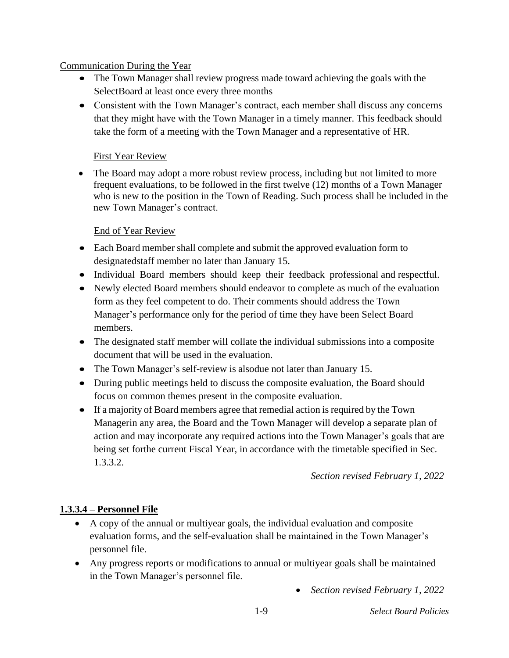## Communication During the Year

- The Town Manager shall review progress made toward achieving the goals with the SelectBoard at least once every three months
- Consistent with the Town Manager's contract, each member shall discuss any concerns that they might have with the Town Manager in a timely manner. This feedback should take the form of a meeting with the Town Manager and a representative of HR.

# First Year Review

• The Board may adopt a more robust review process, including but not limited to more frequent evaluations, to be followed in the first twelve (12) months of a Town Manager who is new to the position in the Town of Reading. Such process shall be included in the new Town Manager's contract.

# End of Year Review

- Each Board member shall complete and submit the approved evaluation form to designatedstaff member no later than January 15.
- Individual Board members should keep their feedback professional and respectful.
- Newly elected Board members should endeavor to complete as much of the evaluation form as they feel competent to do. Their comments should address the Town Manager's performance only for the period of time they have been Select Board members.
- The designated staff member will collate the individual submissions into a composite document that will be used in the evaluation.
- The Town Manager's self-review is alsodue not later than January 15.
- During public meetings held to discuss the composite evaluation, the Board should focus on common themes present in the composite evaluation.
- If a majority of Board members agree that remedial action is required by the Town Managerin any area, the Board and the Town Manager will develop a separate plan of action and may incorporate any required actions into the Town Manager's goals that are being set forthe current Fiscal Year, in accordance with the timetable specified in Sec. 1.3.3.2.

*Section revised February 1, 2022*

# **1.3.3.4 – Personnel File**

- A copy of the annual or multiyear goals, the individual evaluation and composite evaluation forms, and the self-evaluation shall be maintained in the Town Manager's personnel file.
- Any progress reports or modifications to annual or multiyear goals shall be maintained in the Town Manager's personnel file.
	- *Section revised February 1, 2022*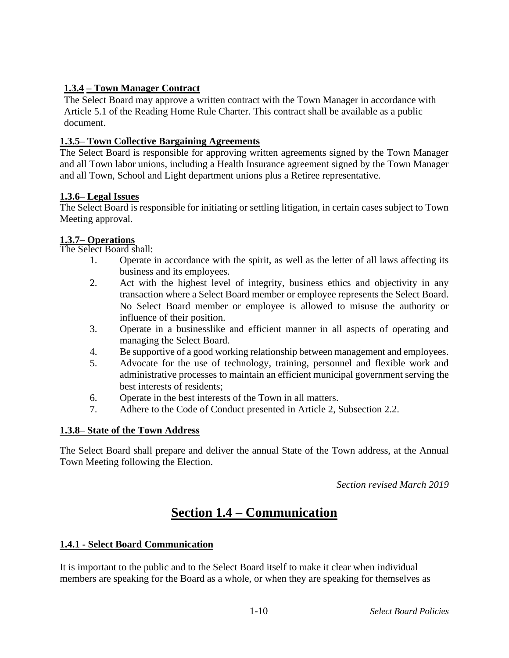# **1.3.4 – Town Manager Contract**

The Select Board may approve a written contract with the Town Manager in accordance with Article 5.1 of the Reading Home Rule Charter. This contract shall be available as a public document.

## **1.3.5– Town Collective Bargaining Agreements**

The Select Board is responsible for approving written agreements signed by the Town Manager and all Town labor unions, including a Health Insurance agreement signed by the Town Manager and all Town, School and Light department unions plus a Retiree representative.

### **1.3.6– Legal Issues**

The Select Board is responsible for initiating or settling litigation, in certain cases subject to Town Meeting approval.

#### **1.3.7– Operations**

The Select Board shall:

- 1. Operate in accordance with the spirit, as well as the letter of all laws affecting its business and its employees.
- 2. Act with the highest level of integrity, business ethics and objectivity in any transaction where a Select Board member or employee represents the Select Board. No Select Board member or employee is allowed to misuse the authority or influence of their position.
- 3. Operate in a businesslike and efficient manner in all aspects of operating and managing the Select Board.
- 4. Be supportive of a good working relationship between management and employees.
- 5. Advocate for the use of technology, training, personnel and flexible work and administrative processes to maintain an efficient municipal government serving the best interests of residents;
- 6. Operate in the best interests of the Town in all matters.
- 7. Adhere to the Code of Conduct presented in Article 2, Subsection 2.2.

## **1.3.8– State of the Town Address**

The Select Board shall prepare and deliver the annual State of the Town address, at the Annual Town Meeting following the Election.

*Section revised March 2019*

# **Section 1.4 – Communication**

## **1.4.1 - Select Board Communication**

It is important to the public and to the Select Board itself to make it clear when individual members are speaking for the Board as a whole, or when they are speaking for themselves as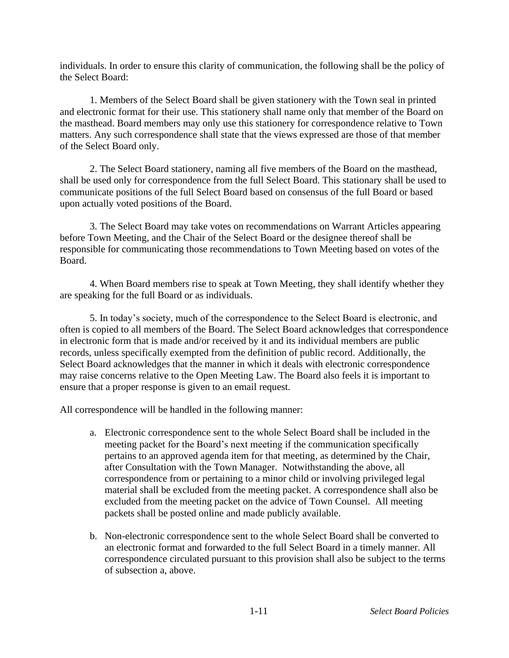individuals. In order to ensure this clarity of communication, the following shall be the policy of the Select Board:

1. Members of the Select Board shall be given stationery with the Town seal in printed and electronic format for their use. This stationery shall name only that member of the Board on the masthead. Board members may only use this stationery for correspondence relative to Town matters. Any such correspondence shall state that the views expressed are those of that member of the Select Board only.

2. The Select Board stationery, naming all five members of the Board on the masthead, shall be used only for correspondence from the full Select Board. This stationary shall be used to communicate positions of the full Select Board based on consensus of the full Board or based upon actually voted positions of the Board.

3. The Select Board may take votes on recommendations on Warrant Articles appearing before Town Meeting, and the Chair of the Select Board or the designee thereof shall be responsible for communicating those recommendations to Town Meeting based on votes of the Board.

4. When Board members rise to speak at Town Meeting, they shall identify whether they are speaking for the full Board or as individuals.

5. In today's society, much of the correspondence to the Select Board is electronic, and often is copied to all members of the Board. The Select Board acknowledges that correspondence in electronic form that is made and/or received by it and its individual members are public records, unless specifically exempted from the definition of public record. Additionally, the Select Board acknowledges that the manner in which it deals with electronic correspondence may raise concerns relative to the Open Meeting Law. The Board also feels it is important to ensure that a proper response is given to an email request.

All correspondence will be handled in the following manner:

- a. Electronic correspondence sent to the whole Select Board shall be included in the meeting packet for the Board's next meeting if the communication specifically pertains to an approved agenda item for that meeting, as determined by the Chair, after Consultation with the Town Manager. Notwithstanding the above, all correspondence from or pertaining to a minor child or involving privileged legal material shall be excluded from the meeting packet. A correspondence shall also be excluded from the meeting packet on the advice of Town Counsel. All meeting packets shall be posted online and made publicly available.
- b. Non-electronic correspondence sent to the whole Select Board shall be converted to an electronic format and forwarded to the full Select Board in a timely manner. All correspondence circulated pursuant to this provision shall also be subject to the terms of subsection a, above.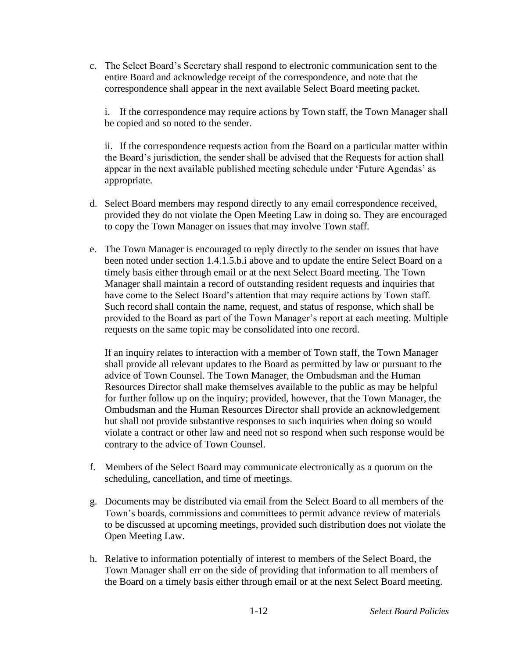c. The Select Board's Secretary shall respond to electronic communication sent to the entire Board and acknowledge receipt of the correspondence, and note that the correspondence shall appear in the next available Select Board meeting packet.

i. If the correspondence may require actions by Town staff, the Town Manager shall be copied and so noted to the sender.

ii. If the correspondence requests action from the Board on a particular matter within the Board's jurisdiction, the sender shall be advised that the Requests for action shall appear in the next available published meeting schedule under 'Future Agendas' as appropriate.

- d. Select Board members may respond directly to any email correspondence received, provided they do not violate the Open Meeting Law in doing so. They are encouraged to copy the Town Manager on issues that may involve Town staff.
- e. The Town Manager is encouraged to reply directly to the sender on issues that have been noted under section 1.4.1.5.b.i above and to update the entire Select Board on a timely basis either through email or at the next Select Board meeting. The Town Manager shall maintain a record of outstanding resident requests and inquiries that have come to the Select Board's attention that may require actions by Town staff. Such record shall contain the name, request, and status of response, which shall be provided to the Board as part of the Town Manager's report at each meeting. Multiple requests on the same topic may be consolidated into one record.

If an inquiry relates to interaction with a member of Town staff, the Town Manager shall provide all relevant updates to the Board as permitted by law or pursuant to the advice of Town Counsel. The Town Manager, the Ombudsman and the Human Resources Director shall make themselves available to the public as may be helpful for further follow up on the inquiry; provided, however, that the Town Manager, the Ombudsman and the Human Resources Director shall provide an acknowledgement but shall not provide substantive responses to such inquiries when doing so would violate a contract or other law and need not so respond when such response would be contrary to the advice of Town Counsel.

- f. Members of the Select Board may communicate electronically as a quorum on the scheduling, cancellation, and time of meetings.
- g. Documents may be distributed via email from the Select Board to all members of the Town's boards, commissions and committees to permit advance review of materials to be discussed at upcoming meetings, provided such distribution does not violate the Open Meeting Law.
- h. Relative to information potentially of interest to members of the Select Board, the Town Manager shall err on the side of providing that information to all members of the Board on a timely basis either through email or at the next Select Board meeting.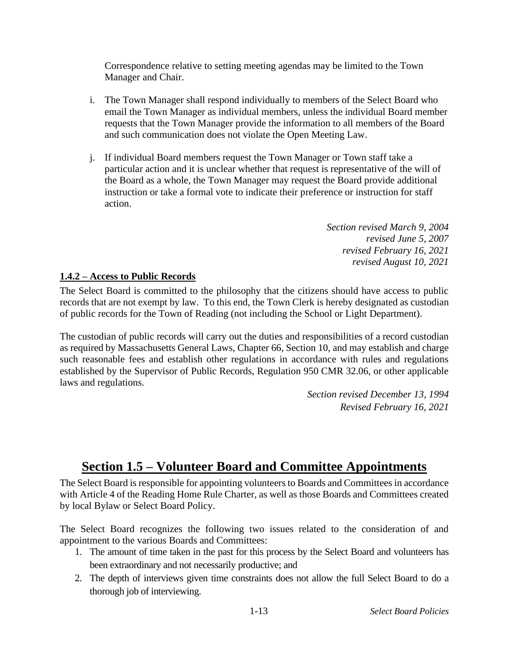Correspondence relative to setting meeting agendas may be limited to the Town Manager and Chair.

- i. The Town Manager shall respond individually to members of the Select Board who email the Town Manager as individual members, unless the individual Board member requests that the Town Manager provide the information to all members of the Board and such communication does not violate the Open Meeting Law.
- j. If individual Board members request the Town Manager or Town staff take a particular action and it is unclear whether that request is representative of the will of the Board as a whole, the Town Manager may request the Board provide additional instruction or take a formal vote to indicate their preference or instruction for staff action.

*Section revised March 9, 2004 revised June 5, 2007 revised February 16, 2021 revised August 10, 2021*

# **1.4.2 – Access to Public Records**

The Select Board is committed to the philosophy that the citizens should have access to public records that are not exempt by law. To this end, the Town Clerk is hereby designated as custodian of public records for the Town of Reading (not including the School or Light Department).

The custodian of public records will carry out the duties and responsibilities of a record custodian as required by Massachusetts General Laws, Chapter 66, Section 10, and may establish and charge such reasonable fees and establish other regulations in accordance with rules and regulations established by the Supervisor of Public Records, Regulation 950 CMR 32.06, or other applicable laws and regulations.

> *Section revised December 13, 1994 Revised February 16, 2021*

# **Section 1.5 – Volunteer Board and Committee Appointments**

The Select Board is responsible for appointing volunteers to Boards and Committees in accordance with Article 4 of the Reading Home Rule Charter, as well as those Boards and Committees created by local Bylaw or Select Board Policy.

The Select Board recognizes the following two issues related to the consideration of and appointment to the various Boards and Committees:

- 1. The amount of time taken in the past for this process by the Select Board and volunteers has been extraordinary and not necessarily productive; and
- 2. The depth of interviews given time constraints does not allow the full Select Board to do a thorough job of interviewing.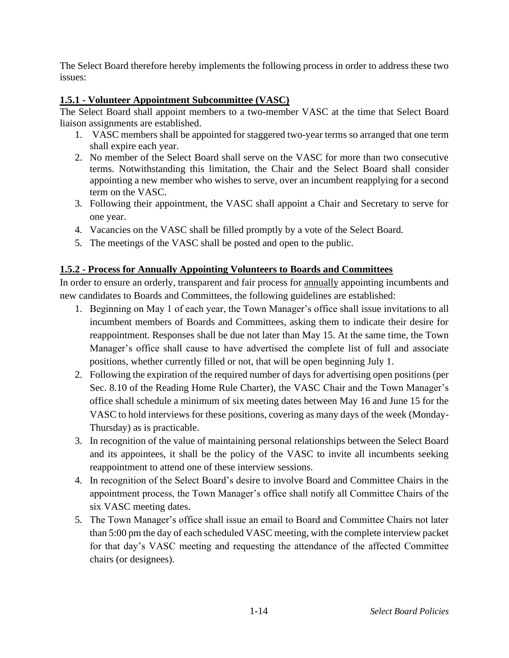The Select Board therefore hereby implements the following process in order to address these two issues:

# **1.5.1 - Volunteer Appointment Subcommittee (VASC)**

The Select Board shall appoint members to a two-member VASC at the time that Select Board liaison assignments are established.

- 1. VASC members shall be appointed for staggered two-year terms so arranged that one term shall expire each year.
- 2. No member of the Select Board shall serve on the VASC for more than two consecutive terms. Notwithstanding this limitation, the Chair and the Select Board shall consider appointing a new member who wishes to serve, over an incumbent reapplying for a second term on the VASC.
- 3. Following their appointment, the VASC shall appoint a Chair and Secretary to serve for one year.
- 4. Vacancies on the VASC shall be filled promptly by a vote of the Select Board.
- 5. The meetings of the VASC shall be posted and open to the public.

# **1.5.2 - Process for Annually Appointing Volunteers to Boards and Committees**

In order to ensure an orderly, transparent and fair process for annually appointing incumbents and new candidates to Boards and Committees, the following guidelines are established:

- 1. Beginning on May 1 of each year, the Town Manager's office shall issue invitations to all incumbent members of Boards and Committees, asking them to indicate their desire for reappointment. Responses shall be due not later than May 15. At the same time, the Town Manager's office shall cause to have advertised the complete list of full and associate positions, whether currently filled or not, that will be open beginning July 1.
- 2. Following the expiration of the required number of days for advertising open positions (per Sec. 8.10 of the Reading Home Rule Charter), the VASC Chair and the Town Manager's office shall schedule a minimum of six meeting dates between May 16 and June 15 for the VASC to hold interviews for these positions, covering as many days of the week (Monday-Thursday) as is practicable.
- 3. In recognition of the value of maintaining personal relationships between the Select Board and its appointees, it shall be the policy of the VASC to invite all incumbents seeking reappointment to attend one of these interview sessions.
- 4. In recognition of the Select Board's desire to involve Board and Committee Chairs in the appointment process, the Town Manager's office shall notify all Committee Chairs of the six VASC meeting dates.
- 5. The Town Manager's office shall issue an email to Board and Committee Chairs not later than 5:00 pm the day of each scheduled VASC meeting, with the complete interview packet for that day's VASC meeting and requesting the attendance of the affected Committee chairs (or designees).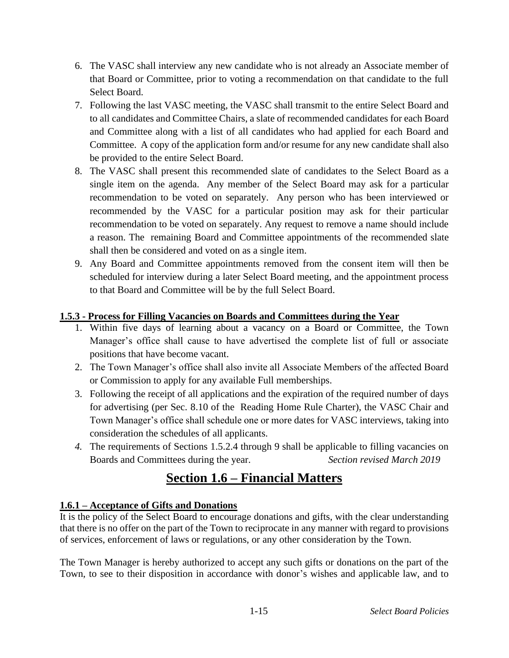- 6. The VASC shall interview any new candidate who is not already an Associate member of that Board or Committee, prior to voting a recommendation on that candidate to the full Select Board.
- 7. Following the last VASC meeting, the VASC shall transmit to the entire Select Board and to all candidates and Committee Chairs, a slate of recommended candidates for each Board and Committee along with a list of all candidates who had applied for each Board and Committee. A copy of the application form and/or resume for any new candidate shall also be provided to the entire Select Board.
- 8. The VASC shall present this recommended slate of candidates to the Select Board as a single item on the agenda. Any member of the Select Board may ask for a particular recommendation to be voted on separately. Any person who has been interviewed or recommended by the VASC for a particular position may ask for their particular recommendation to be voted on separately. Any request to remove a name should include a reason. The remaining Board and Committee appointments of the recommended slate shall then be considered and voted on as a single item.
- 9. Any Board and Committee appointments removed from the consent item will then be scheduled for interview during a later Select Board meeting, and the appointment process to that Board and Committee will be by the full Select Board.

# **1.5.3 - Process for Filling Vacancies on Boards and Committees during the Year**

- 1. Within five days of learning about a vacancy on a Board or Committee, the Town Manager's office shall cause to have advertised the complete list of full or associate positions that have become vacant.
- 2. The Town Manager's office shall also invite all Associate Members of the affected Board or Commission to apply for any available Full memberships.
- 3. Following the receipt of all applications and the expiration of the required number of days for advertising (per Sec. 8.10 of the Reading Home Rule Charter), the VASC Chair and Town Manager's office shall schedule one or more dates for VASC interviews, taking into consideration the schedules of all applicants.
- *4.* The requirements of Sections 1.5.2.4 through 9 shall be applicable to filling vacancies on Boards and Committees during the year. *Section revised March 2019*

# **Section 1.6 – Financial Matters**

# **1.6.1 – Acceptance of Gifts and Donations**

It is the policy of the Select Board to encourage donations and gifts, with the clear understanding that there is no offer on the part of the Town to reciprocate in any manner with regard to provisions of services, enforcement of laws or regulations, or any other consideration by the Town.

The Town Manager is hereby authorized to accept any such gifts or donations on the part of the Town, to see to their disposition in accordance with donor's wishes and applicable law, and to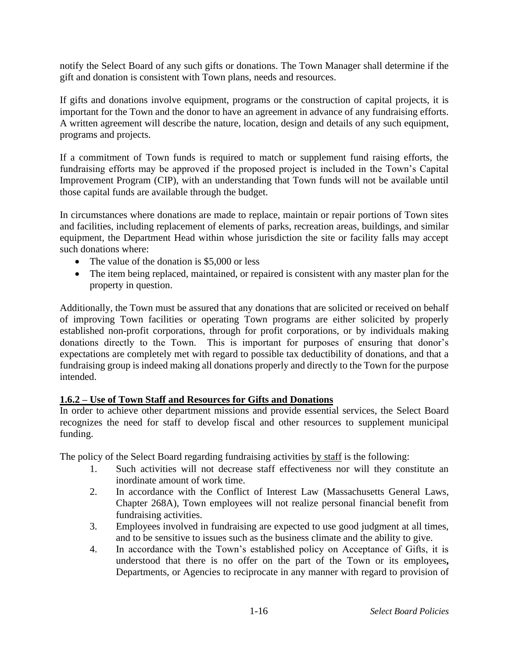notify the Select Board of any such gifts or donations. The Town Manager shall determine if the gift and donation is consistent with Town plans, needs and resources.

If gifts and donations involve equipment, programs or the construction of capital projects, it is important for the Town and the donor to have an agreement in advance of any fundraising efforts. A written agreement will describe the nature, location, design and details of any such equipment, programs and projects.

If a commitment of Town funds is required to match or supplement fund raising efforts, the fundraising efforts may be approved if the proposed project is included in the Town's Capital Improvement Program (CIP), with an understanding that Town funds will not be available until those capital funds are available through the budget.

In circumstances where donations are made to replace, maintain or repair portions of Town sites and facilities, including replacement of elements of parks, recreation areas, buildings, and similar equipment, the Department Head within whose jurisdiction the site or facility falls may accept such donations where:

- The value of the donation is \$5,000 or less
- The item being replaced, maintained, or repaired is consistent with any master plan for the property in question.

Additionally, the Town must be assured that any donations that are solicited or received on behalf of improving Town facilities or operating Town programs are either solicited by properly established non-profit corporations, through for profit corporations, or by individuals making donations directly to the Town. This is important for purposes of ensuring that donor's expectations are completely met with regard to possible tax deductibility of donations, and that a fundraising group is indeed making all donations properly and directly to the Town for the purpose intended.

## **1.6.2 – Use of Town Staff and Resources for Gifts and Donations**

In order to achieve other department missions and provide essential services, the Select Board recognizes the need for staff to develop fiscal and other resources to supplement municipal funding.

The policy of the Select Board regarding fundraising activities by staff is the following:

- 1. Such activities will not decrease staff effectiveness nor will they constitute an inordinate amount of work time.
- 2. In accordance with the Conflict of Interest Law (Massachusetts General Laws, Chapter 268A), Town employees will not realize personal financial benefit from fundraising activities.
- 3. Employees involved in fundraising are expected to use good judgment at all times, and to be sensitive to issues such as the business climate and the ability to give.
- 4. In accordance with the Town's established policy on Acceptance of Gifts, it is understood that there is no offer on the part of the Town or its employees**,**  Departments, or Agencies to reciprocate in any manner with regard to provision of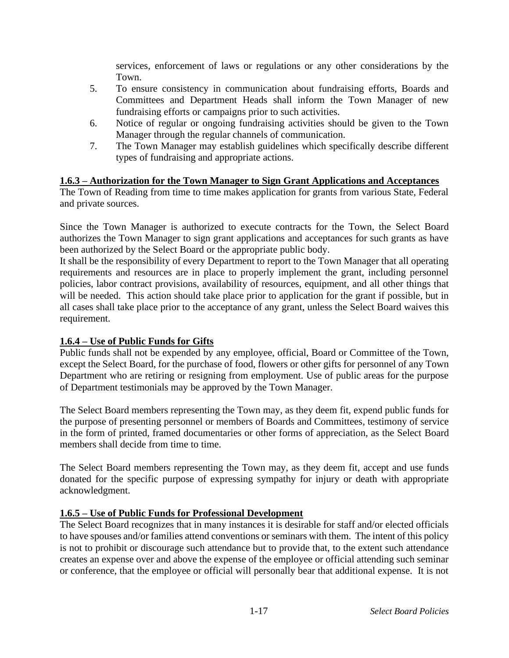services, enforcement of laws or regulations or any other considerations by the Town.

- 5. To ensure consistency in communication about fundraising efforts, Boards and Committees and Department Heads shall inform the Town Manager of new fundraising efforts or campaigns prior to such activities.
- 6. Notice of regular or ongoing fundraising activities should be given to the Town Manager through the regular channels of communication.
- 7. The Town Manager may establish guidelines which specifically describe different types of fundraising and appropriate actions.

# **1.6.3 – Authorization for the Town Manager to Sign Grant Applications and Acceptances**

The Town of Reading from time to time makes application for grants from various State, Federal and private sources.

Since the Town Manager is authorized to execute contracts for the Town, the Select Board authorizes the Town Manager to sign grant applications and acceptances for such grants as have been authorized by the Select Board or the appropriate public body.

It shall be the responsibility of every Department to report to the Town Manager that all operating requirements and resources are in place to properly implement the grant, including personnel policies, labor contract provisions, availability of resources, equipment, and all other things that will be needed. This action should take place prior to application for the grant if possible, but in all cases shall take place prior to the acceptance of any grant, unless the Select Board waives this requirement.

## **1.6.4 – Use of Public Funds for Gifts**

Public funds shall not be expended by any employee, official, Board or Committee of the Town, except the Select Board, for the purchase of food, flowers or other gifts for personnel of any Town Department who are retiring or resigning from employment. Use of public areas for the purpose of Department testimonials may be approved by the Town Manager.

The Select Board members representing the Town may, as they deem fit, expend public funds for the purpose of presenting personnel or members of Boards and Committees, testimony of service in the form of printed, framed documentaries or other forms of appreciation, as the Select Board members shall decide from time to time.

The Select Board members representing the Town may, as they deem fit, accept and use funds donated for the specific purpose of expressing sympathy for injury or death with appropriate acknowledgment.

## **1.6.5 – Use of Public Funds for Professional Development**

The Select Board recognizes that in many instances it is desirable for staff and/or elected officials to have spouses and/or families attend conventions or seminars with them. The intent of this policy is not to prohibit or discourage such attendance but to provide that, to the extent such attendance creates an expense over and above the expense of the employee or official attending such seminar or conference, that the employee or official will personally bear that additional expense. It is not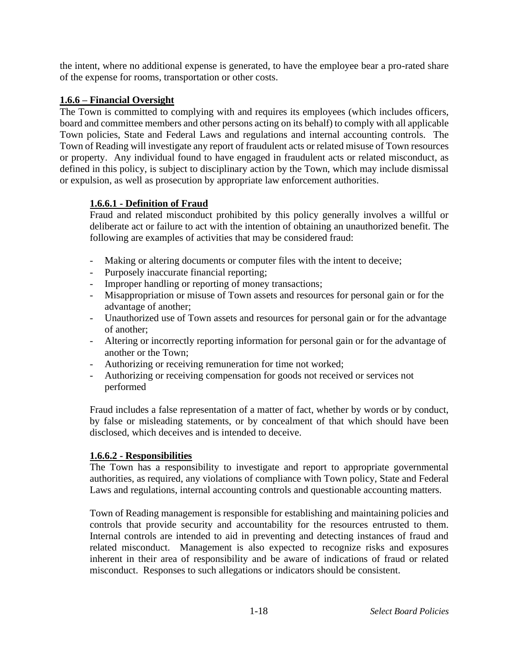the intent, where no additional expense is generated, to have the employee bear a pro-rated share of the expense for rooms, transportation or other costs.

## **1.6.6 – Financial Oversight**

The Town is committed to complying with and requires its employees (which includes officers, board and committee members and other persons acting on its behalf) to comply with all applicable Town policies, State and Federal Laws and regulations and internal accounting controls. The Town of Reading will investigate any report of fraudulent acts or related misuse of Town resources or property. Any individual found to have engaged in fraudulent acts or related misconduct, as defined in this policy, is subject to disciplinary action by the Town, which may include dismissal or expulsion, as well as prosecution by appropriate law enforcement authorities.

# **1.6.6.1 - Definition of Fraud**

Fraud and related misconduct prohibited by this policy generally involves a willful or deliberate act or failure to act with the intention of obtaining an unauthorized benefit. The following are examples of activities that may be considered fraud:

- Making or altering documents or computer files with the intent to deceive;
- Purposely inaccurate financial reporting;
- Improper handling or reporting of money transactions;
- Misappropriation or misuse of Town assets and resources for personal gain or for the advantage of another;
- Unauthorized use of Town assets and resources for personal gain or for the advantage of another;
- Altering or incorrectly reporting information for personal gain or for the advantage of another or the Town;
- Authorizing or receiving remuneration for time not worked;
- Authorizing or receiving compensation for goods not received or services not performed

Fraud includes a false representation of a matter of fact, whether by words or by conduct, by false or misleading statements, or by concealment of that which should have been disclosed, which deceives and is intended to deceive.

# **1.6.6.2 - Responsibilities**

The Town has a responsibility to investigate and report to appropriate governmental authorities, as required, any violations of compliance with Town policy, State and Federal Laws and regulations, internal accounting controls and questionable accounting matters.

Town of Reading management is responsible for establishing and maintaining policies and controls that provide security and accountability for the resources entrusted to them. Internal controls are intended to aid in preventing and detecting instances of fraud and related misconduct. Management is also expected to recognize risks and exposures inherent in their area of responsibility and be aware of indications of fraud or related misconduct. Responses to such allegations or indicators should be consistent.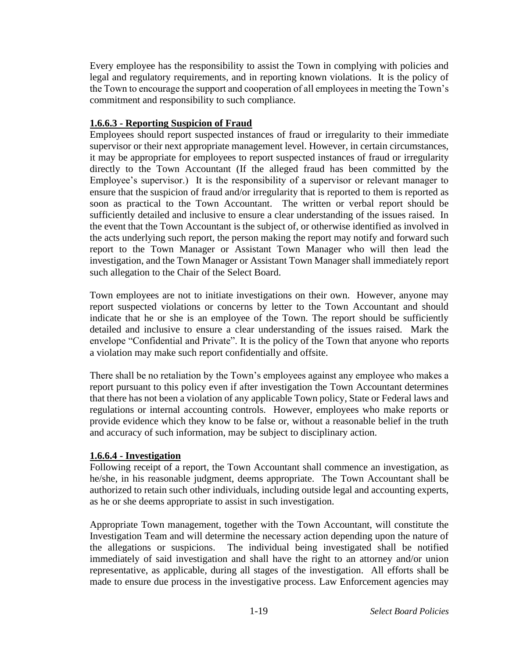Every employee has the responsibility to assist the Town in complying with policies and legal and regulatory requirements, and in reporting known violations. It is the policy of the Town to encourage the support and cooperation of all employees in meeting the Town's commitment and responsibility to such compliance.

## **1.6.6.3 - Reporting Suspicion of Fraud**

Employees should report suspected instances of fraud or irregularity to their immediate supervisor or their next appropriate management level. However, in certain circumstances, it may be appropriate for employees to report suspected instances of fraud or irregularity directly to the Town Accountant (If the alleged fraud has been committed by the Employee's supervisor.) It is the responsibility of a supervisor or relevant manager to ensure that the suspicion of fraud and/or irregularity that is reported to them is reported as soon as practical to the Town Accountant. The written or verbal report should be sufficiently detailed and inclusive to ensure a clear understanding of the issues raised. In the event that the Town Accountant is the subject of, or otherwise identified as involved in the acts underlying such report, the person making the report may notify and forward such report to the Town Manager or Assistant Town Manager who will then lead the investigation, and the Town Manager or Assistant Town Manager shall immediately report such allegation to the Chair of the Select Board.

Town employees are not to initiate investigations on their own. However, anyone may report suspected violations or concerns by letter to the Town Accountant and should indicate that he or she is an employee of the Town. The report should be sufficiently detailed and inclusive to ensure a clear understanding of the issues raised. Mark the envelope "Confidential and Private". It is the policy of the Town that anyone who reports a violation may make such report confidentially and offsite.

There shall be no retaliation by the Town's employees against any employee who makes a report pursuant to this policy even if after investigation the Town Accountant determines that there has not been a violation of any applicable Town policy, State or Federal laws and regulations or internal accounting controls. However, employees who make reports or provide evidence which they know to be false or, without a reasonable belief in the truth and accuracy of such information, may be subject to disciplinary action.

## **1.6.6.4 - Investigation**

Following receipt of a report, the Town Accountant shall commence an investigation, as he/she, in his reasonable judgment, deems appropriate. The Town Accountant shall be authorized to retain such other individuals, including outside legal and accounting experts, as he or she deems appropriate to assist in such investigation.

Appropriate Town management, together with the Town Accountant, will constitute the Investigation Team and will determine the necessary action depending upon the nature of the allegations or suspicions. The individual being investigated shall be notified immediately of said investigation and shall have the right to an attorney and/or union representative, as applicable, during all stages of the investigation. All efforts shall be made to ensure due process in the investigative process. Law Enforcement agencies may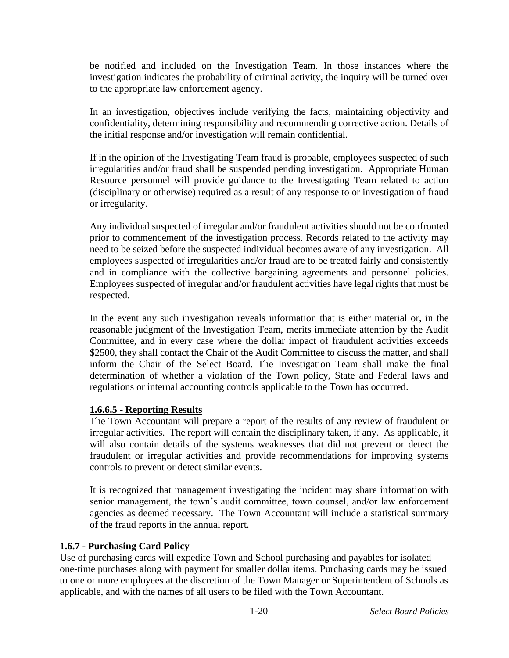be notified and included on the Investigation Team. In those instances where the investigation indicates the probability of criminal activity, the inquiry will be turned over to the appropriate law enforcement agency.

In an investigation, objectives include verifying the facts, maintaining objectivity and confidentiality, determining responsibility and recommending corrective action. Details of the initial response and/or investigation will remain confidential.

If in the opinion of the Investigating Team fraud is probable, employees suspected of such irregularities and/or fraud shall be suspended pending investigation. Appropriate Human Resource personnel will provide guidance to the Investigating Team related to action (disciplinary or otherwise) required as a result of any response to or investigation of fraud or irregularity.

Any individual suspected of irregular and/or fraudulent activities should not be confronted prior to commencement of the investigation process. Records related to the activity may need to be seized before the suspected individual becomes aware of any investigation. All employees suspected of irregularities and/or fraud are to be treated fairly and consistently and in compliance with the collective bargaining agreements and personnel policies. Employees suspected of irregular and/or fraudulent activities have legal rights that must be respected.

In the event any such investigation reveals information that is either material or, in the reasonable judgment of the Investigation Team, merits immediate attention by the Audit Committee, and in every case where the dollar impact of fraudulent activities exceeds \$2500, they shall contact the Chair of the Audit Committee to discuss the matter, and shall inform the Chair of the Select Board. The Investigation Team shall make the final determination of whether a violation of the Town policy, State and Federal laws and regulations or internal accounting controls applicable to the Town has occurred.

## **1.6.6.5 - Reporting Results**

The Town Accountant will prepare a report of the results of any review of fraudulent or irregular activities. The report will contain the disciplinary taken, if any. As applicable, it will also contain details of the systems weaknesses that did not prevent or detect the fraudulent or irregular activities and provide recommendations for improving systems controls to prevent or detect similar events.

It is recognized that management investigating the incident may share information with senior management, the town's audit committee, town counsel, and/or law enforcement agencies as deemed necessary. The Town Accountant will include a statistical summary of the fraud reports in the annual report.

## **1.6.7 - Purchasing Card Policy**

Use of purchasing cards will expedite Town and School purchasing and payables for isolated one-time purchases along with payment for smaller dollar items. Purchasing cards may be issued to one or more employees at the discretion of the Town Manager or Superintendent of Schools as applicable, and with the names of all users to be filed with the Town Accountant.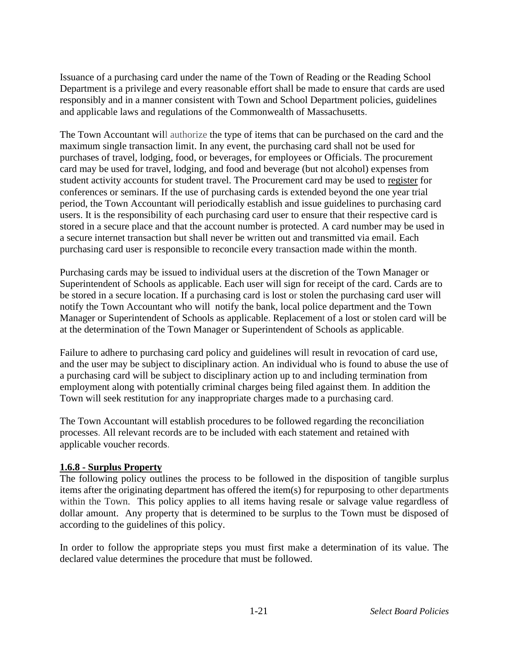Issuance of a purchasing card under the name of the Town of Reading or the Reading School Department is a privilege and every reasonable effort shall be made to ensure that cards are used responsibly and in a manner consistent with Town and School Department policies, guidelines and applicable laws and regulations of the Commonwealth of Massachusetts.

The Town Accountant will authorize the type of items that can be purchased on the card and the maximum single transaction limit. In any event, the purchasing card shall not be used for purchases of travel, lodging, food, or beverages, for employees or Officials. The procurement card may be used for travel, lodging, and food and beverage (but not alcohol) expenses from student activity accounts for student travel. The Procurement card may be used to register for conferences or seminars. If the use of purchasing cards is extended beyond the one year trial period, the Town Accountant will periodically establish and issue guidelines to purchasing card users. It is the responsibility of each purchasing card user to ensure that their respective card is stored in a secure place and that the account number is protected. A card number may be used in a secure internet transaction but shall never be written out and transmitted via email. Each purchasing card user is responsible to reconcile every transaction made within the month.

Purchasing cards may be issued to individual users at the discretion of the Town Manager or Superintendent of Schools as applicable. Each user will sign for receipt of the card. Cards are to be stored in a secure location. If a purchasing card is lost or stolen the purchasing card user will notify the Town Accountant who will notify the bank, local police department and the Town Manager or Superintendent of Schools as applicable. Replacement of a lost or stolen card will be at the determination of the Town Manager or Superintendent of Schools as applicable.

Failure to adhere to purchasing card policy and guidelines will result in revocation of card use, and the user may be subject to disciplinary action. An individual who is found to abuse the use of a purchasing card will be subject to disciplinary action up to and including termination from employment along with potentially criminal charges being filed against them. In addition the Town will seek restitution for any inappropriate charges made to a purchasing card.

The Town Accountant will establish procedures to be followed regarding the reconciliation processes. All relevant records are to be included with each statement and retained with applicable voucher records.

## **1.6.8 - Surplus Property**

The following policy outlines the process to be followed in the disposition of tangible surplus items after the originating department has offered the item(s) for repurposing to other departments within the Town. This policy applies to all items having resale or salvage value regardless of dollar amount. Any property that is determined to be surplus to the Town must be disposed of according to the guidelines of this policy.

In order to follow the appropriate steps you must first make a determination of its value. The declared value determines the procedure that must be followed.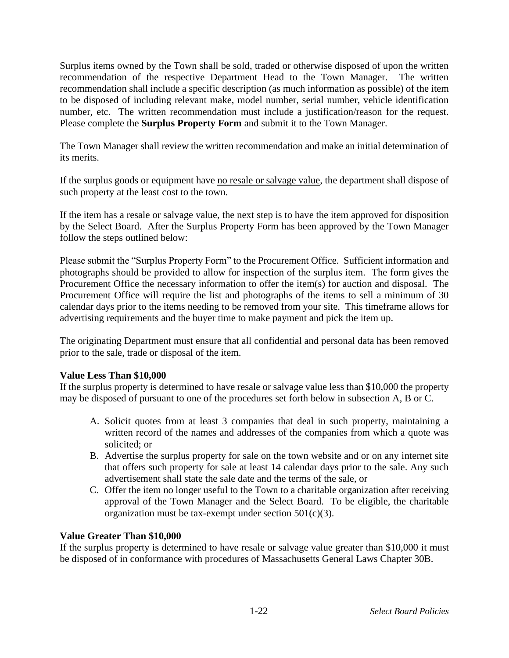Surplus items owned by the Town shall be sold, traded or otherwise disposed of upon the written recommendation of the respective Department Head to the Town Manager. The written recommendation shall include a specific description (as much information as possible) of the item to be disposed of including relevant make, model number, serial number, vehicle identification number, etc. The written recommendation must include a justification/reason for the request. Please complete the **Surplus Property Form** and submit it to the Town Manager.

The Town Manager shall review the written recommendation and make an initial determination of its merits.

If the surplus goods or equipment have no resale or salvage value, the department shall dispose of such property at the least cost to the town.

If the item has a resale or salvage value, the next step is to have the item approved for disposition by the Select Board. After the Surplus Property Form has been approved by the Town Manager follow the steps outlined below:

Please submit the "Surplus Property Form" to the Procurement Office. Sufficient information and photographs should be provided to allow for inspection of the surplus item. The form gives the Procurement Office the necessary information to offer the item(s) for auction and disposal. The Procurement Office will require the list and photographs of the items to sell a minimum of 30 calendar days prior to the items needing to be removed from your site. This timeframe allows for advertising requirements and the buyer time to make payment and pick the item up.

The originating Department must ensure that all confidential and personal data has been removed prior to the sale, trade or disposal of the item.

#### **Value Less Than \$10,000**

If the surplus property is determined to have resale or salvage value less than \$10,000 the property may be disposed of pursuant to one of the procedures set forth below in subsection A, B or C.

- A. Solicit quotes from at least 3 companies that deal in such property, maintaining a written record of the names and addresses of the companies from which a quote was solicited; or
- B. Advertise the surplus property for sale on the town website and or on any internet site that offers such property for sale at least 14 calendar days prior to the sale. Any such advertisement shall state the sale date and the terms of the sale, or
- C. Offer the item no longer useful to the Town to a charitable organization after receiving approval of the Town Manager and the Select Board. To be eligible, the charitable organization must be tax-exempt under section  $501(c)(3)$ .

## **Value Greater Than \$10,000**

If the surplus property is determined to have resale or salvage value greater than \$10,000 it must be disposed of in conformance with procedures of Massachusetts General Laws Chapter 30B.